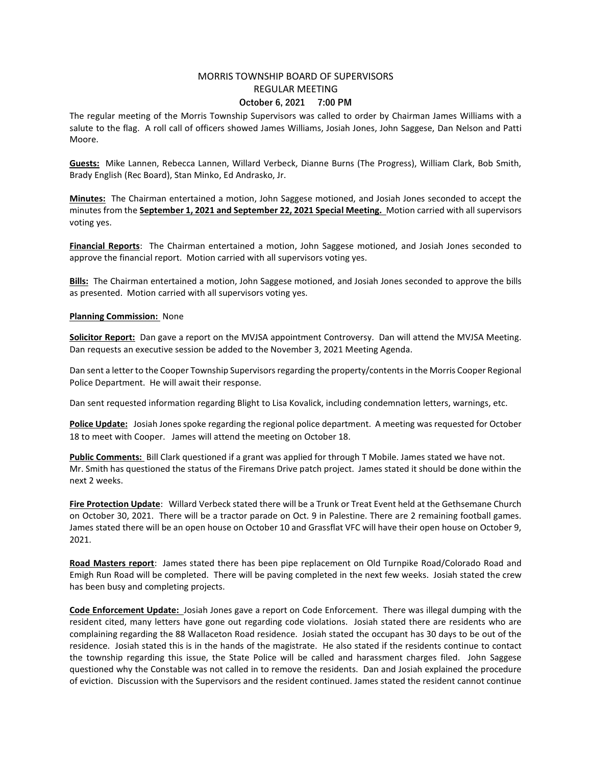## MORRIS TOWNSHIP BOARD OF SUPERVISORS REGULAR MEETING October 6, 2021 7:00 PM

The regular meeting of the Morris Township Supervisors was called to order by Chairman James Williams with a salute to the flag. A roll call of officers showed James Williams, Josiah Jones, John Saggese, Dan Nelson and Patti Moore.

Guests: Mike Lannen, Rebecca Lannen, Willard Verbeck, Dianne Burns (The Progress), William Clark, Bob Smith, Brady English (Rec Board), Stan Minko, Ed Andrasko, Jr.

Minutes: The Chairman entertained a motion, John Saggese motioned, and Josiah Jones seconded to accept the minutes from the **September 1, 2021 and September 22, 2021 Special Meeting.** Motion carried with all supervisors voting yes.

Financial Reports: The Chairman entertained a motion, John Saggese motioned, and Josiah Jones seconded to approve the financial report. Motion carried with all supervisors voting yes.

Bills: The Chairman entertained a motion, John Saggese motioned, and Josiah Jones seconded to approve the bills as presented. Motion carried with all supervisors voting yes.

## Planning Commission: None

Solicitor Report: Dan gave a report on the MVJSA appointment Controversy. Dan will attend the MVJSA Meeting. Dan requests an executive session be added to the November 3, 2021 Meeting Agenda.

Dan sent a letter to the Cooper Township Supervisors regarding the property/contents in the Morris Cooper Regional Police Department. He will await their response.

Dan sent requested information regarding Blight to Lisa Kovalick, including condemnation letters, warnings, etc.

Police Update: Josiah Jones spoke regarding the regional police department. A meeting was requested for October 18 to meet with Cooper. James will attend the meeting on October 18.

Public Comments: Bill Clark questioned if a grant was applied for through T Mobile. James stated we have not. Mr. Smith has questioned the status of the Firemans Drive patch project. James stated it should be done within the next 2 weeks.

Fire Protection Update: Willard Verbeck stated there will be a Trunk or Treat Event held at the Gethsemane Church on October 30, 2021. There will be a tractor parade on Oct. 9 in Palestine. There are 2 remaining football games. James stated there will be an open house on October 10 and Grassflat VFC will have their open house on October 9, 2021.

Road Masters report: James stated there has been pipe replacement on Old Turnpike Road/Colorado Road and Emigh Run Road will be completed. There will be paving completed in the next few weeks. Josiah stated the crew has been busy and completing projects.

Code Enforcement Update: Josiah Jones gave a report on Code Enforcement. There was illegal dumping with the resident cited, many letters have gone out regarding code violations. Josiah stated there are residents who are complaining regarding the 88 Wallaceton Road residence. Josiah stated the occupant has 30 days to be out of the residence. Josiah stated this is in the hands of the magistrate. He also stated if the residents continue to contact the township regarding this issue, the State Police will be called and harassment charges filed. John Saggese questioned why the Constable was not called in to remove the residents. Dan and Josiah explained the procedure of eviction. Discussion with the Supervisors and the resident continued. James stated the resident cannot continue